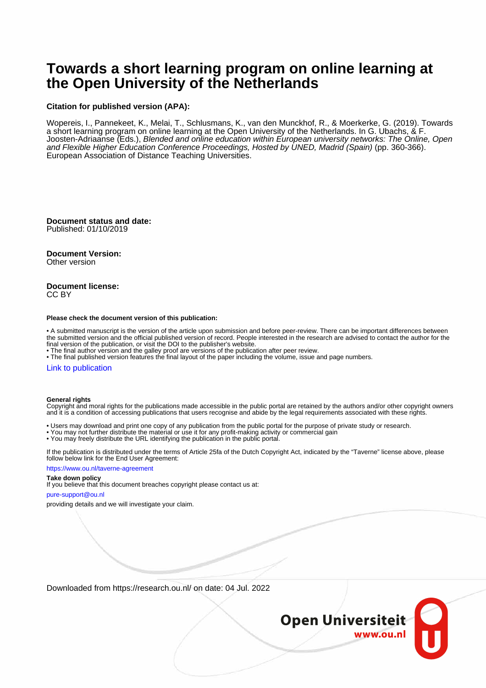# **Towards a short learning program on online learning at the Open University of the Netherlands**

#### **Citation for published version (APA):**

Wopereis, I., Pannekeet, K., Melai, T., Schlusmans, K., van den Munckhof, R., & Moerkerke, G. (2019). Towards a short learning program on online learning at the Open University of the Netherlands. In G. Ubachs, & F. Joosten-Adriaanse (Eds.), Blended and online education within European university networks: The Online, Open and Flexible Higher Education Conference Proceedings, Hosted by UNED, Madrid (Spain) (pp. 360-366). European Association of Distance Teaching Universities.

**Document status and date:** Published: 01/10/2019

**Document Version:**

Other version

#### **Document license:** CC BY

#### **Please check the document version of this publication:**

• A submitted manuscript is the version of the article upon submission and before peer-review. There can be important differences between the submitted version and the official published version of record. People interested in the research are advised to contact the author for the final version of the publication, or visit the DOI to the publisher's website.

• The final author version and the galley proof are versions of the publication after peer review.

• The final published version features the final layout of the paper including the volume, issue and page numbers.

#### [Link to publication](https://research.ou.nl/en/publications/476f0a17-dce1-4ada-b27e-0b267827f3fe)

#### **General rights**

Copyright and moral rights for the publications made accessible in the public portal are retained by the authors and/or other copyright owners and it is a condition of accessing publications that users recognise and abide by the legal requirements associated with these rights.

- Users may download and print one copy of any publication from the public portal for the purpose of private study or research.
- You may not further distribute the material or use it for any profit-making activity or commercial gain
- You may freely distribute the URL identifying the publication in the public portal.

If the publication is distributed under the terms of Article 25fa of the Dutch Copyright Act, indicated by the "Taverne" license above, please follow below link for the End User Agreement:

#### https://www.ou.nl/taverne-agreement

#### **Take down policy**

If you believe that this document breaches copyright please contact us at:

#### pure-support@ou.nl

providing details and we will investigate your claim.

Downloaded from https://research.ou.nl/ on date: 04 Jul. 2022

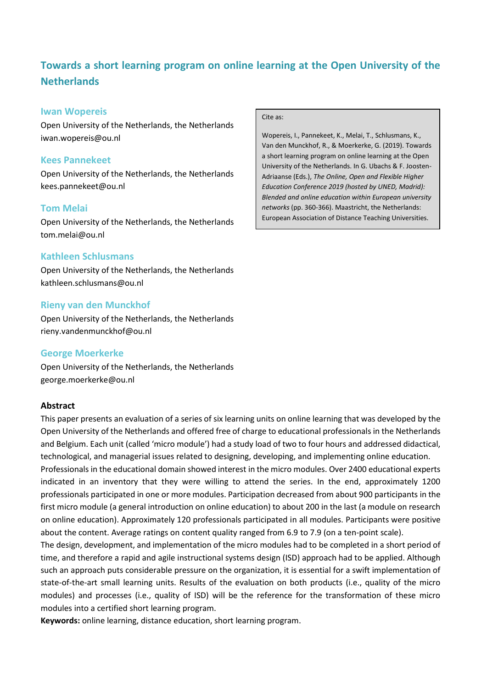# **Towards a short learning program on online learning at the Open University of the Netherlands**

#### **Iwan Wopereis**

Open University of the Netherlands, the Netherlands iwan.wopereis@ou.nl

### **Kees Pannekeet**

Open University of the Netherlands, the Netherlands kees.pannekeet@ou.nl

### **Tom Melai**

Open University of the Netherlands, the Netherlands tom.melai@ou.nl

### **Kathleen Schlusmans**

Open University of the Netherlands, the Netherlands kathleen.schlusmans@ou.nl

### **Rieny van den Munckhof**

Open University of the Netherlands, the Netherlands rieny.vandenmunckhof@ou.nl

### **George Moerkerke**

Open University of the Netherlands, the Netherlands george.moerkerke@ou.nl

#### **Abstract**

This paper presents an evaluation of a series of six learning units on online learning that was developed by the Open University of the Netherlands and offered free of charge to educational professionals in the Netherlands and Belgium. Each unit (called 'micro module') had a study load of two to four hours and addressed didactical, technological, and managerial issues related to designing, developing, and implementing online education.

Professionals in the educational domain showed interest in the micro modules. Over 2400 educational experts indicated in an inventory that they were willing to attend the series. In the end, approximately 1200 professionals participated in one or more modules. Participation decreased from about 900 participants in the first micro module (a general introduction on online education) to about 200 in the last (a module on research on online education). Approximately 120 professionals participated in all modules. Participants were positive about the content. Average ratings on content quality ranged from 6.9 to 7.9 (on a ten-point scale).

The design, development, and implementation of the micro modules had to be completed in a short period of time, and therefore a rapid and agile instructional systems design (ISD) approach had to be applied. Although such an approach puts considerable pressure on the organization, it is essential for a swift implementation of state-of-the-art small learning units. Results of the evaluation on both products (i.e., quality of the micro modules) and processes (i.e., quality of ISD) will be the reference for the transformation of these micro modules into a certified short learning program.

**Keywords:** online learning, distance education, short learning program.

#### Cite as:

Wopereis, I., Pannekeet, K., Melai, T., Schlusmans, K., Van den Munckhof, R., & Moerkerke, G. (2019). Towards a short learning program on online learning at the Open University of the Netherlands. In G. Ubachs & F. Joosten-Adriaanse (Eds.), *The Online, Open and Flexible Higher Education Conference 2019 (hosted by UNED, Madrid): Blended and online education within European university networks* (pp. 360-366). Maastricht, the Netherlands: European Association of Distance Teaching Universities.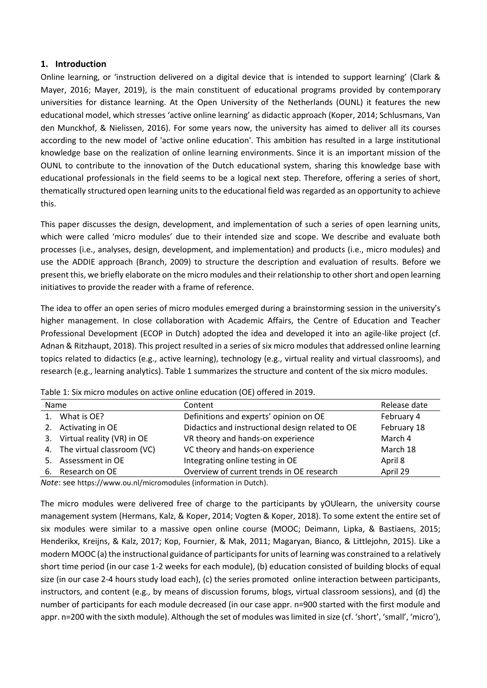### **1. Introduction**

Online learning, or 'instruction delivered on a digital device that is intended to support learning' (Clark & Mayer, 2016; Mayer, 2019), is the main constituent of educational programs provided by contemporary universities for distance learning. At the Open University of the Netherlands (OUNL) it features the new educational model, which stresses 'active online learning' as didactic approach (Koper, 2014; Schlusmans, Van den Munckhof, & Nielissen, 2016). For some years now, the university has aimed to deliver all its courses according to the new model of 'active online education'. This ambition has resulted in a large institutional knowledge base on the realization of online learning environments. Since it is an important mission of the OUNL to contribute to the innovation of the Dutch educational system, sharing this knowledge base with educational professionals in the field seems to be a logical next step. Therefore, offering a series of short, thematically structured open learning units to the educational field was regarded as an opportunity to achieve this.

This paper discusses the design, development, and implementation of such a series of open learning units, which were called 'micro modules' due to their intended size and scope. We describe and evaluate both processes (i.e., analyses, design, development, and implementation) and products (i.e., micro modules) and use the ADDIE approach (Branch, 2009) to structure the description and evaluation of results. Before we present this, we briefly elaborate on the micro modules and their relationship to other short and open learning initiatives to provide the reader with a frame of reference.

The idea to offer an open series of micro modules emerged during a brainstorming session in the university's higher management. In close collaboration with Academic Affairs, the Centre of Education and Teacher Professional Development (ECOP in Dutch) adopted the idea and developed it into an agile-like project (cf. Adnan & Ritzhaupt, 2018). This project resulted in a series of six micro modules that addressed online learning topics related to didactics (e.g., active learning), technology (e.g., virtual reality and virtual classrooms), and research (e.g., learning analytics). Table 1 summarizes the structure and content of the six micro modules.

| Name |                               | Content                                          | Release date |
|------|-------------------------------|--------------------------------------------------|--------------|
|      | 1. What is OE?                | Definitions and experts' opinion on OE           | February 4   |
|      | 2. Activating in OE           | Didactics and instructional design related to OE | February 18  |
|      | 3. Virtual reality (VR) in OE | VR theory and hands-on experience                | March 4      |
|      | 4. The virtual classroom (VC) | VC theory and hands-on experience                | March 18     |
|      | 5. Assessment in OE           | Integrating online testing in OE                 | April 8      |
|      | 6. Research on OE             | Overview of current trends in OE research        | April 29     |

Table 1: Six micro modules on active online education (OE) offered in 2019.

*Note*: see https://www.ou.nl/micromodules (information in Dutch).

The micro modules were delivered free of charge to the participants by yOUlearn, the university course management system (Hermans, Kalz, & Koper, 2014; Vogten & Koper, 2018). To some extent the entire set of six modules were similar to a massive open online course (MOOC; Deimann, Lipka, & Bastiaens, 2015; Henderikx, Kreijns, & Kalz, 2017; Kop, Fournier, & Mak, 2011; Magaryan, Bianco, & Littlejohn, 2015). Like a modern MOOC (a) the instructional guidance of participants for units of learning was constrained to a relatively short time period (in our case 1-2 weeks for each module), (b) education consisted of building blocks of equal size (in our case 2-4 hours study load each), (c) the series promoted online interaction between participants, instructors, and content (e.g., by means of discussion forums, blogs, virtual classroom sessions), and (d) the number of participants for each module decreased (in our case appr. n=900 started with the first module and appr. n=200 with the sixth module). Although the set of modules was limited in size (cf. 'short', 'small', 'micro'),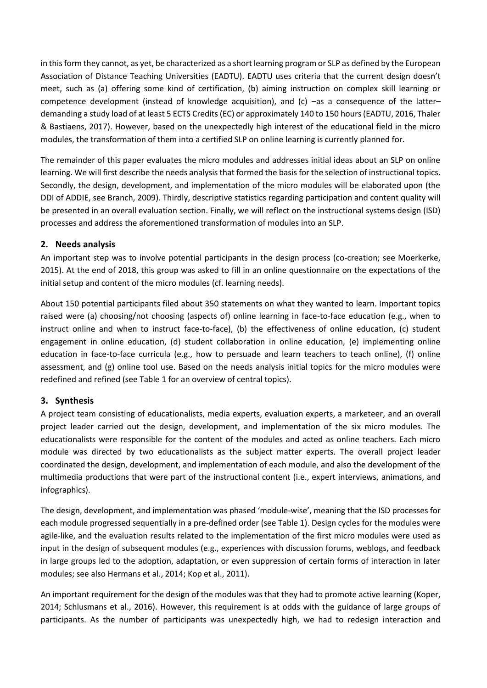in this form they cannot, as yet, be characterized as a short learning program or SLP as defined by the European Association of Distance Teaching Universities (EADTU). EADTU uses criteria that the current design doesn't meet, such as (a) offering some kind of certification, (b) aiming instruction on complex skill learning or competence development (instead of knowledge acquisition), and (c) -as a consequence of the latterdemanding a study load of at least 5 ECTS Credits (EC) or approximately 140 to 150 hours (EADTU, 2016, Thaler & Bastiaens, 2017). However, based on the unexpectedly high interest of the educational field in the micro modules, the transformation of them into a certified SLP on online learning is currently planned for.

The remainder of this paper evaluates the micro modules and addresses initial ideas about an SLP on online learning. We will first describe the needs analysis that formed the basis for the selection of instructional topics. Secondly, the design, development, and implementation of the micro modules will be elaborated upon (the DDI of ADDIE, see Branch, 2009). Thirdly, descriptive statistics regarding participation and content quality will be presented in an overall evaluation section. Finally, we will reflect on the instructional systems design (ISD) processes and address the aforementioned transformation of modules into an SLP.

# **2. Needs analysis**

An important step was to involve potential participants in the design process (co-creation; see Moerkerke, 2015). At the end of 2018, this group was asked to fill in an online questionnaire on the expectations of the initial setup and content of the micro modules (cf. learning needs).

About 150 potential participants filed about 350 statements on what they wanted to learn. Important topics raised were (a) choosing/not choosing (aspects of) online learning in face-to-face education (e.g., when to instruct online and when to instruct face-to-face), (b) the effectiveness of online education, (c) student engagement in online education, (d) student collaboration in online education, (e) implementing online education in face-to-face curricula (e.g., how to persuade and learn teachers to teach online), (f) online assessment, and (g) online tool use. Based on the needs analysis initial topics for the micro modules were redefined and refined (see Table 1 for an overview of central topics).

# **3. Synthesis**

A project team consisting of educationalists, media experts, evaluation experts, a marketeer, and an overall project leader carried out the design, development, and implementation of the six micro modules. The educationalists were responsible for the content of the modules and acted as online teachers. Each micro module was directed by two educationalists as the subject matter experts. The overall project leader coordinated the design, development, and implementation of each module, and also the development of the multimedia productions that were part of the instructional content (i.e., expert interviews, animations, and infographics).

The design, development, and implementation was phased 'module-wise', meaning that the ISD processes for each module progressed sequentially in a pre-defined order (see Table 1). Design cycles for the modules were agile-like, and the evaluation results related to the implementation of the first micro modules were used as input in the design of subsequent modules (e.g., experiences with discussion forums, weblogs, and feedback in large groups led to the adoption, adaptation, or even suppression of certain forms of interaction in later modules; see also Hermans et al., 2014; Kop et al., 2011).

An important requirement for the design of the modules was that they had to promote active learning (Koper, 2014; Schlusmans et al., 2016). However, this requirement is at odds with the guidance of large groups of participants. As the number of participants was unexpectedly high, we had to redesign interaction and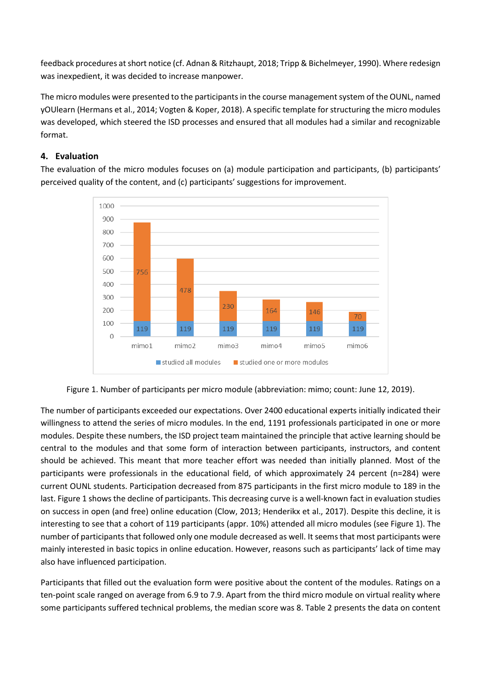feedback procedures at short notice (cf. Adnan & Ritzhaupt, 2018; Tripp & Bichelmeyer, 1990). Where redesign was inexpedient, it was decided to increase manpower.

The micro modules were presented to the participants in the course management system of the OUNL, named yOUlearn (Hermans et al., 2014; Vogten & Koper, 2018). A specific template for structuring the micro modules was developed, which steered the ISD processes and ensured that all modules had a similar and recognizable format.

# **4. Evaluation**

The evaluation of the micro modules focuses on (a) module participation and participants, (b) participants' perceived quality of the content, and (c) participants' suggestions for improvement.





The number of participants exceeded our expectations. Over 2400 educational experts initially indicated their willingness to attend the series of micro modules. In the end, 1191 professionals participated in one or more modules. Despite these numbers, the ISD project team maintained the principle that active learning should be central to the modules and that some form of interaction between participants, instructors, and content should be achieved. This meant that more teacher effort was needed than initially planned. Most of the participants were professionals in the educational field, of which approximately 24 percent (n=284) were current OUNL students. Participation decreased from 875 participants in the first micro module to 189 in the last. Figure 1 shows the decline of participants. This decreasing curve is a well-known fact in evaluation studies on success in open (and free) online education (Clow, 2013; Henderikx et al., 2017). Despite this decline, it is interesting to see that a cohort of 119 participants (appr. 10%) attended all micro modules (see Figure 1). The number of participants that followed only one module decreased as well. It seems that most participants were mainly interested in basic topics in online education. However, reasons such as participants' lack of time may also have influenced participation.

Participants that filled out the evaluation form were positive about the content of the modules. Ratings on a ten-point scale ranged on average from 6.9 to 7.9. Apart from the third micro module on virtual reality where some participants suffered technical problems, the median score was 8. Table 2 presents the data on content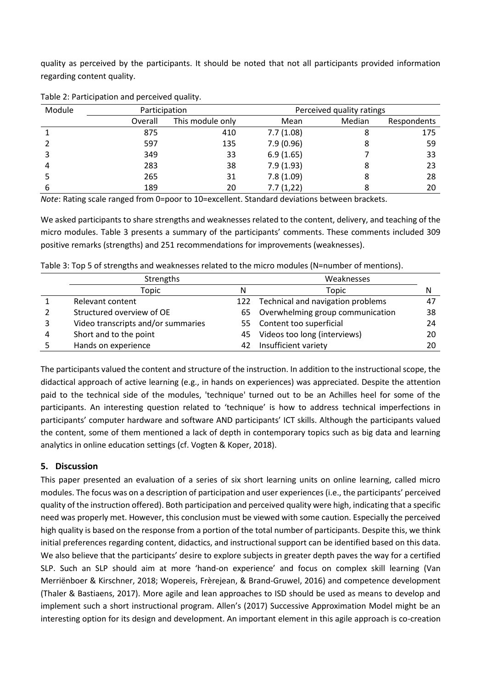quality as perceived by the participants. It should be noted that not all participants provided information regarding content quality.

| Module | Participation |                  | Perceived quality ratings |        |             |  |
|--------|---------------|------------------|---------------------------|--------|-------------|--|
|        | Overall       | This module only | Mean                      | Median | Respondents |  |
|        | 875           | 410              | 7.7(1.08)                 |        | 175         |  |
|        | 597           | 135              | 7.9(0.96)                 |        | 59          |  |
|        | 349           | 33               | 6.9(1.65)                 |        | 33          |  |
| 4      | 283           | 38               | 7.9(1.93)                 |        | 23          |  |
|        | 265           | 31               | 7.8(1.09)                 |        | 28          |  |
|        | 189           | 20               | 7.7(1,22)                 |        | 20          |  |

Table 2: Participation and perceived quality.

*Note*: Rating scale ranged from 0=poor to 10=excellent. Standard deviations between brackets.

We asked participants to share strengths and weaknesses related to the content, delivery, and teaching of the micro modules. Table 3 presents a summary of the participants' comments. These comments included 309 positive remarks (strengths) and 251 recommendations for improvements (weaknesses).

| Table 3: Top 5 of strengths and weaknesses related to the micro modules (N=number of mentions). |  |
|-------------------------------------------------------------------------------------------------|--|
|-------------------------------------------------------------------------------------------------|--|

|   | Strengths                          | Weaknesses |                                       |    |
|---|------------------------------------|------------|---------------------------------------|----|
|   | Topic                              | Ν          | Topic                                 | N  |
|   | Relevant content                   |            | 122 Technical and navigation problems | 47 |
|   | Structured overview of OE          |            | 65 Overwhelming group communication   | 38 |
|   | Video transcripts and/or summaries |            | 55 Content too superficial            | 24 |
| 4 | Short and to the point             | 45         | Videos too long (interviews)          | 20 |
|   | Hands on experience                | 42         | Insufficient variety                  | 20 |

The participants valued the content and structure of the instruction. In addition to the instructional scope, the didactical approach of active learning (e.g., in hands on experiences) was appreciated. Despite the attention paid to the technical side of the modules, 'technique' turned out to be an Achilles heel for some of the participants. An interesting question related to 'technique' is how to address technical imperfections in participants' computer hardware and software AND participants' ICT skills. Although the participants valued the content, some of them mentioned a lack of depth in contemporary topics such as big data and learning analytics in online education settings (cf. Vogten & Koper, 2018).

### **5. Discussion**

This paper presented an evaluation of a series of six short learning units on online learning, called micro modules. The focus was on a description of participation and user experiences (i.e., the participants' perceived quality of the instruction offered). Both participation and perceived quality were high, indicating that a specific need was properly met. However, this conclusion must be viewed with some caution. Especially the perceived high quality is based on the response from a portion of the total number of participants. Despite this, we think initial preferences regarding content, didactics, and instructional support can be identified based on this data. We also believe that the participants' desire to explore subjects in greater depth paves the way for a certified SLP. Such an SLP should aim at more 'hand-on experience' and focus on complex skill learning (Van Merriënboer & Kirschner, 2018; Wopereis, Frèrejean, & Brand-Gruwel, 2016) and competence development (Thaler & Bastiaens, 2017). More agile and lean approaches to ISD should be used as means to develop and implement such a short instructional program. Allen's (2017) Successive Approximation Model might be an interesting option for its design and development. An important element in this agile approach is co-creation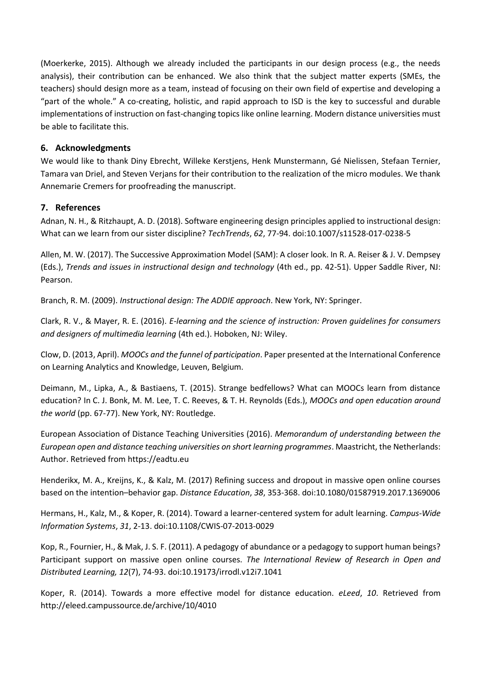(Moerkerke, 2015). Although we already included the participants in our design process (e.g., the needs analysis), their contribution can be enhanced. We also think that the subject matter experts (SMEs, the teachers) should design more as a team, instead of focusing on their own field of expertise and developing a "part of the whole." A co-creating, holistic, and rapid approach to ISD is the key to successful and durable implementations of instruction on fast-changing topics like online learning. Modern distance universities must be able to facilitate this.

## **6. Acknowledgments**

We would like to thank Diny Ebrecht, Willeke Kerstjens, Henk Munstermann, Gé Nielissen, Stefaan Ternier, Tamara van Driel, and Steven Verjans for their contribution to the realization of the micro modules. We thank Annemarie Cremers for proofreading the manuscript.

# **7. References**

Adnan, N. H., & Ritzhaupt, A. D. (2018). Software engineering design principles applied to instructional design: What can we learn from our sister discipline? *TechTrends*, *62*, 77-94. doi:10.1007/s11528-017-0238-5

Allen, M. W. (2017). The Successive Approximation Model (SAM): A closer look. In R. A. Reiser & J. V. Dempsey (Eds.), *Trends and issues in instructional design and technology* (4th ed., pp. 42-51). Upper Saddle River, NJ: Pearson.

Branch, R. M. (2009). *Instructional design: The ADDIE approach*. New York, NY: Springer.

Clark, R. V., & Mayer, R. E. (2016). *E-learning and the science of instruction: Proven guidelines for consumers and designers of multimedia learning* (4th ed.). Hoboken, NJ: Wiley.

Clow, D. (2013, April). *MOOCs and the funnel of participation*. Paper presented at the International Conference on Learning Analytics and Knowledge, Leuven, Belgium.

Deimann, M., Lipka, A., & Bastiaens, T. (2015). Strange bedfellows? What can MOOCs learn from distance education? In C. J. Bonk, M. M. Lee, T. C. Reeves, & T. H. Reynolds (Eds.), *MOOCs and open education around the world* (pp. 67-77). New York, NY: Routledge.

European Association of Distance Teaching Universities (2016). *Memorandum of understanding between the European open and distance teaching universities on short learning programmes*. Maastricht, the Netherlands: Author. Retrieved from https://eadtu.eu

Henderikx, M. A., Kreijns, K., & Kalz, M. (2017) Refining success and dropout in massive open online courses based on the intention–behavior gap. *Distance Education*, *38*, 353-368. doi:10.1080/01587919.2017.1369006

Hermans, H., Kalz, M., & Koper, R. (2014). Toward a learner-centered system for adult learning. *Campus-Wide Information Systems*, *31*, 2-13. doi:10.1108/CWIS-07-2013-0029

Kop, R., Fournier, H., & Mak, J. S. F. (2011). A pedagogy of abundance or a pedagogy to support human beings? Participant support on massive open online courses. *The International Review of Research in Open and Distributed Learning, 12*(7), 74-93. doi:10.19173/irrodl.v12i7.1041

Koper, R. (2014). Towards a more effective model for distance education. *eLeed*, *10*. Retrieved from http://eleed.campussource.de/archive/10/4010